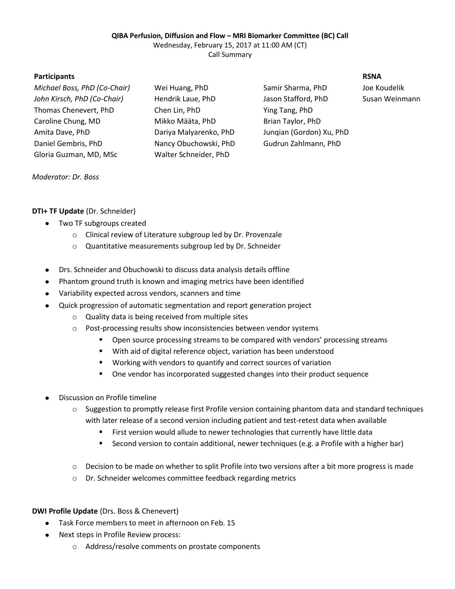### **QIBA Perfusion, Diffusion and Flow – MRI Biomarker Committee (BC) Call**

Wednesday, February 15, 2017 at 11:00 AM (CT)

Call Summary

## **Participants RSNA**

*Michael Boss, PhD (Co-Chair)* Wei Huang, PhD Samir Sharma, PhD Joe Koudelik *John Kirsch, PhD (Co-Chair)* Hendrik Laue, PhD Jason Stafford, PhD Susan Weinmann Thomas Chenevert, PhD Chen Lin, PhD Ying Tang, PhD Caroline Chung, MD Mikko Määta, PhD Brian Taylor, PhD Amita Dave, PhD Dariya Malyarenko, PhD Junqian (Gordon) Xu, PhD Daniel Gembris, PhD Nancy Obuchowski, PhD Gudrun Zahlmann, PhD Gloria Guzman, MD, MSc Walter Schneider, PhD

### *Moderator: Dr. Boss*

# **DTI+ TF Update** (Dr. Schneider)

- Two TF subgroups created
	- o Clinical review of Literature subgroup led by Dr. Provenzale
	- o Quantitative measurements subgroup led by Dr. Schneider
- Drs. Schneider and Obuchowski to discuss data analysis details offline
- Phantom ground truth is known and imaging metrics have been identified
- Variability expected across vendors, scanners and time
- Quick progression of automatic segmentation and report generation project
	- o Quality data is being received from multiple sites
	- o Post-processing results show inconsistencies between vendor systems
		- Open source processing streams to be compared with vendors' processing streams
		- With aid of digital reference object, variation has been understood
		- Working with vendors to quantify and correct sources of variation
		- One vendor has incorporated suggested changes into their product sequence
- Discussion on Profile timeline
	- $\circ$  Suggestion to promptly release first Profile version containing phantom data and standard techniques with later release of a second version including patient and test-retest data when available
		- First version would allude to newer technologies that currently have little data
		- Second version to contain additional, newer techniques (e.g. a Profile with a higher bar)
	- $\circ$  Decision to be made on whether to split Profile into two versions after a bit more progress is made
	- o Dr. Schneider welcomes committee feedback regarding metrics

## **DWI Profile Update** (Drs. Boss & Chenevert)

- Task Force members to meet in afternoon on Feb. 15
- Next steps in Profile Review process:  $\bullet$ 
	- o Address/resolve comments on prostate components